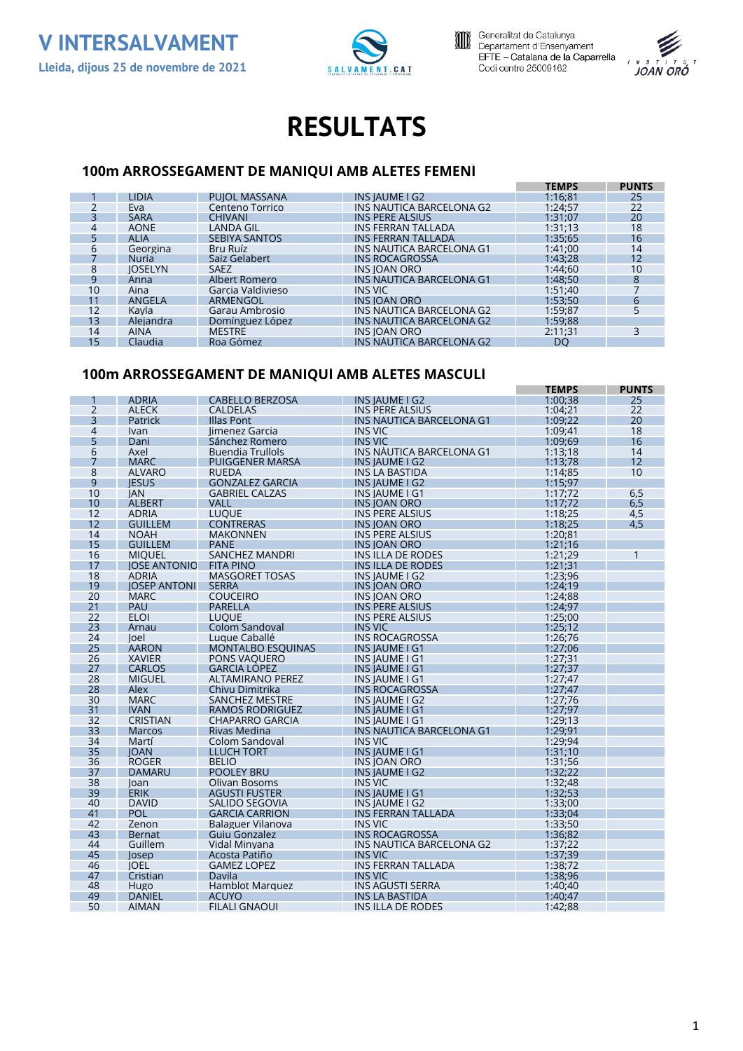





# **RESULTATS**

#### **100m ARROSSEGAMENT DE MANIQUÍ AMB ALETES FEMENÍ**

|                 |                |                      |                           | <b>TEMPS</b> | <b>PUNTS</b>    |
|-----------------|----------------|----------------------|---------------------------|--------------|-----------------|
|                 | <b>LIDIA</b>   | <b>PUIOL MASSANA</b> | INS IAUME I G2            | 1:16:81      | 25              |
|                 | Eva            | Centeno Torrico      | INS NAUTICA BARCELONA G2  | 1:24:57      | 22              |
|                 | <b>SARA</b>    | <b>CHIVANI</b>       | <b>INS PERE ALSIUS</b>    | 1:31:07      | 20              |
| 4               | <b>AONE</b>    | <b>LANDA GIL</b>     | INS FERRAN TALLADA        | 1:31:13      | 18              |
|                 | <b>ALIA</b>    | <b>SEBIYA SANTOS</b> | <b>INS FERRAN TALLADA</b> | 1:35:65      | 16              |
| 6               | Georgina       | Bru Ruíz             | INS NAUTICA BARCELONA G1  | 1:41:00      | 14              |
|                 | <b>Nuria</b>   | Saiz Gelabert        | <b>INS ROCAGROSSA</b>     | 1:43:28      | 12 <sup>°</sup> |
| 8               | <b>IOSELYN</b> | <b>SAEZ</b>          | <b>INS JOAN ORO</b>       | 1:44:60      | 10 <sup>°</sup> |
| 9               | Anna           | Albert Romero        | INS NAUTICA BARCELONA G1  | 1:48:50      | 8               |
| 10              | Aina           | Garcia Valdivieso    | INS VIC                   | 1:51:40      |                 |
| 11              | ANGELA         | ARMENGOL             | INS IOAN ORO              | 1:53:50      | 6               |
| 12              | Kavla          | Garau Ambrosio       | INS NAUTICA BARCELONA G2  | 1:59:87      |                 |
| 13              | Alejandra      | Domínguez López      | INS NAUTICA BARCELONA G2  | 1:59:88      |                 |
| 14              | <b>AINA</b>    | <b>MESTRE</b>        | <b>INS JOAN ORO</b>       | 2:11:31      |                 |
| 15 <sup>1</sup> | Claudia        | Roa Gómez            | INS NAUTICA BARCELONA G2  | DO           |                 |

### **100m ARROSSEGAMENT DE MANIQUÍ AMB ALETES MASCULÍ**

|                |                     |                          |                                 | <b>TEMPS</b> | <b>PUNTS</b> |
|----------------|---------------------|--------------------------|---------------------------------|--------------|--------------|
|                | <b>ADRIA</b>        | <b>CABELLO BERZOSA</b>   | <b>INS JAUME I G2</b>           | 1:00:38      | 25           |
| $\overline{2}$ | <b>ALECK</b>        | <b>CALDELAS</b>          | <b>INS PERE ALSIUS</b>          | 1:04:21      | 22           |
| 3              | <b>Patrick</b>      | <b>Illas Pont</b>        | <b>INS NAUTICA BARCELONA G1</b> | 1:09:22      | 20           |
| $\overline{4}$ | <b>Ivan</b>         | limenez Garcia           | <b>INS VIC</b>                  | 1:09;41      | 18           |
| 5              | Dani                | Sánchez Romero           | <b>INS VIC</b>                  | 1:09:69      | 16           |
| 6              | Axel                | <b>Buendia Trullols</b>  | <b>INS NAUTICA BARCELONA G1</b> | 1:13:18      | 14           |
| 7              | <b>MARC</b>         | <b>PUIGGENER MARSA</b>   | <b>INS IAUME I G2</b>           | 1:13:78      | 12           |
| 8              | <b>ALVARO</b>       | <b>RUEDA</b>             | <b>INS LA BASTIDA</b>           | 1:14;85      | 10           |
| 9              | <b>IESUS</b>        | <b>GONZALEZ GARCIA</b>   | <b>INS JAUME I G2</b>           | 1:15;97      |              |
| 10             | <b>IAN</b>          | <b>GABRIEL CALZAS</b>    | <b>INSIAUMEIG1</b>              | 1:17;72      | 6,5          |
| 10             | <b>ALBERT</b>       | <b>VALL</b>              | <b>INS JOAN ORO</b>             | 1:17:72      | 6,5          |
| 12             | <b>ADRIA</b>        | <b>LUQUE</b>             | <b>INS PERE ALSIUS</b>          | 1:18;25      | 4,5          |
| 12             | <b>GUILLEM</b>      | <b>CONTRERAS</b>         | <b>INS JOAN ORO</b>             | 1:18;25      | 4,5          |
| 14             | <b>NOAH</b>         | <b>MAKONNEN</b>          | <b>INS PERE ALSIUS</b>          | 1:20;81      |              |
| 15             | <b>GUILLEM</b>      | <b>PANE</b>              | <b>INS IOAN ORO</b>             | 1:21:16      |              |
| 16             | <b>MIOUEL</b>       | <b>SANCHEZ MANDRI</b>    | <b>INS ILLA DE RODES</b>        | 1:21;29      | 1            |
| 17             | <b>JOSE ANTONIO</b> | <b>FITA PINO</b>         | INS ILLA DE RODES               | 1:21:31      |              |
| 18             | <b>ADRIA</b>        | <b>MASGORET TOSAS</b>    | <b>INS IAUME I G2</b>           | 1:23:96      |              |
| 19             | <b>IOSEP ANTONI</b> | <b>SERRA</b>             | <b>INS IOAN ORO</b>             | 1:24:19      |              |
| 20             | <b>MARC</b>         | <b>COUCEIRO</b>          | <b>INS JOAN ORO</b>             | 1:24;88      |              |
| 21             | PAU                 | <b>PARELLA</b>           | <b>INS PERE ALSIUS</b>          | 1:24:97      |              |
| 22             | <b>ELOI</b>         | <b>LUQUE</b>             | INS PERE ALSIUS                 | 1:25;00      |              |
| 23             | Arnau               | Colom Sandoval           | <b>INS VIC</b>                  | 1:25:12      |              |
| 24             | loel                | Lugue Caballé            | <b>INS ROCAGROSSA</b>           | 1:26:76      |              |
| 25             | <b>AARON</b>        | <b>MONTALBO ESOUINAS</b> | <b>INS IAUME I G1</b>           | 1:27:06      |              |
| 26             | <b>XAVIER</b>       | <b>PONS VAOUERO</b>      | INS JAUME I G1                  | 1:27;31      |              |
| 27             | <b>CARLOS</b>       | <b>GARCIA LOPEZ</b>      | <b>INS JAUME I G1</b>           | 1:27:37      |              |
| 28             | <b>MIGUEL</b>       | <b>ALTAMIRANO PEREZ</b>  | INS JAUME I G1                  | 1:27:47      |              |
| 28             | <b>Alex</b>         | Chivu Dimitrika          | <b>INS ROCAGROSSA</b>           | 1:27:47      |              |
| 30             | <b>MARC</b>         | <b>SANCHEZ MESTRE</b>    | <b>INS IAUME I G2</b>           | 1:27;76      |              |
| 31             | <b>IVAN</b>         | RAMOS RODRIGUEZ          | <b>INS JAUME I G1</b>           | 1:27:97      |              |
| 32             | <b>CRISTIAN</b>     | <b>CHAPARRO GARCIA</b>   | INS JAUME I G1                  | 1:29:13      |              |
| 33             | <b>Marcos</b>       | Rivas Medina             | INS NAUTICA BARCELONA G1        | 1:29;91      |              |
| 34             | Martí               | Colom Sandoval           | <b>INS VIC</b>                  | 1:29;94      |              |
| 35             | <b>JOAN</b>         | <b>LLUCH TORT</b>        | <b>INS JAUME I G1</b>           | 1:31:10      |              |
| 36             | <b>ROGER</b>        | <b>BELIO</b>             | INS IOAN ORO                    | 1:31:56      |              |
| 37             | <b>DAMARU</b>       | <b>POOLEY BRU</b>        | <b>INS IAUME I G2</b>           | 1:32:22      |              |
| 38             |                     | Olivan Bosoms            | <b>INS VIC</b>                  | 1:32;48      |              |
| 39             | Joan<br><b>ERIK</b> | <b>AGUSTI FUSTER</b>     | <b>INS JAUME I G1</b>           | 1:32:53      |              |
| 40             | <b>DAVID</b>        | <b>SALIDO SEGOVIA</b>    | <b>INSIAUMEIG2</b>              | 1:33;00      |              |
| 41             | POL                 | <b>GARCIA CARRION</b>    | <b>INS FERRAN TALLADA</b>       | 1:33;04      |              |
| 42             | Zenon               | Balaguer Vilanova        | <b>INS VIC</b>                  | 1:33;50      |              |
| 43             |                     |                          | <b>INS ROCAGROSSA</b>           | 1:36:82      |              |
| 44             | Bernat              | Guiu Gonzalez            | INS NAUTICA BARCELONA G2        | 1:37;22      |              |
| 45             | Guillem             | Vidal Minvana            | INS VIC                         | 1:37;39      |              |
| 46             | losep               | Acosta Patiño            | <b>INS FERRAN TALLADA</b>       |              |              |
|                | <b>JOEL</b>         | <b>GAMEZ LOPEZ</b>       |                                 | 1:38;72      |              |
| 47             | Cristian            | Davila                   | <b>INS VIC</b>                  | 1:38:96      |              |
| 48<br>49       | Hugo                | <b>Hamblot Marquez</b>   | <b>INS AGUSTI SERRA</b>         | 1:40:40      |              |
|                | <b>DANIEL</b>       | <b>ACUYO</b>             | <b>INS LA BASTIDA</b>           | 1:40:47      |              |
| 50             | <b>AIMAN</b>        | <b>FILALI GNAOUI</b>     | INS ILLA DE RODES               | 1:42:88      |              |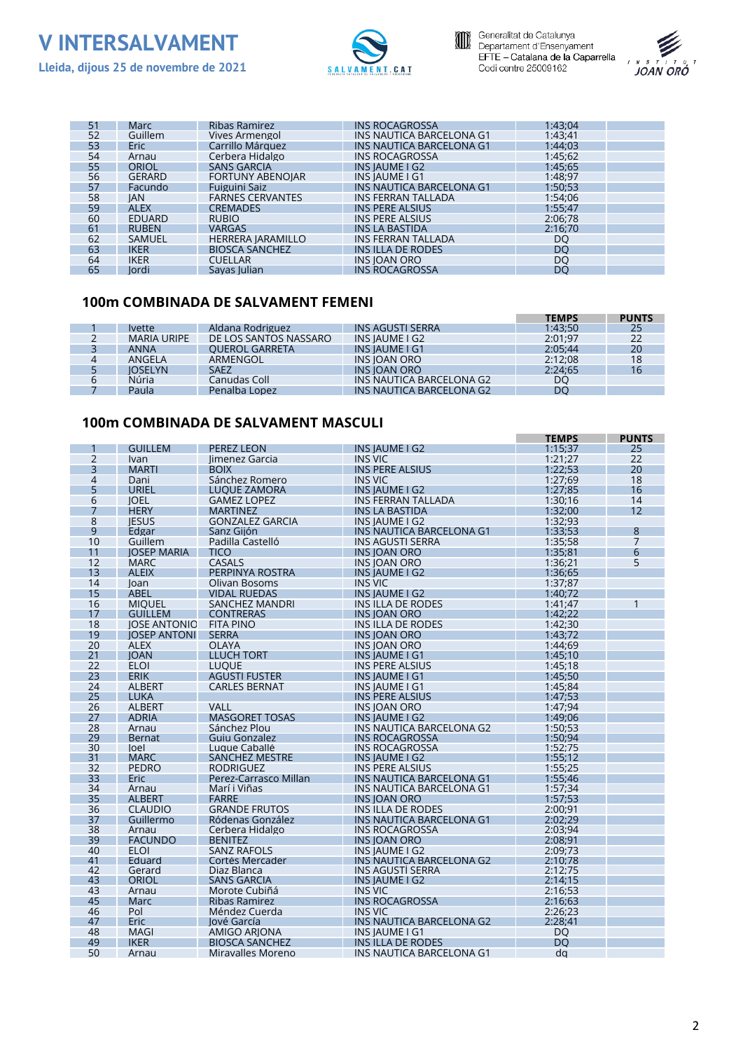





| 51 | <b>Marc</b>   | Ribas Ramirez            | <b>INS ROCAGROSSA</b>     | 1:43:04 |  |
|----|---------------|--------------------------|---------------------------|---------|--|
| 52 | Guillem       | Vives Armengol           | INS NAUTICA BARCELONA G1  | 1:43:41 |  |
| 53 | <b>Eric</b>   | Carrillo Márquez         | INS NAUTICA BARCELONA G1  | 1:44:03 |  |
| 54 | Arnau         | Cerbera Hidalgo          | <b>INS ROCAGROSSA</b>     | 1:45;62 |  |
| 55 | <b>ORIOL</b>  | <b>SANS GARCIA</b>       | <b>INS IAUME I G2</b>     | 1:45:65 |  |
| 56 | <b>GERARD</b> | <b>FORTUNY ABENOIAR</b>  | <b>INS IAUME I G1</b>     | 1:48;97 |  |
| 57 | Facundo       | Fuiguini Saiz            | INS NAUTICA BARCELONA G1  | 1:50:53 |  |
| 58 | <b>IAN</b>    | <b>FARNES CERVANTES</b>  | <b>INS FERRAN TALLADA</b> | 1:54;06 |  |
| 59 | <b>ALEX</b>   | <b>CREMADES</b>          | <b>INS PERE ALSIUS</b>    | 1:55:47 |  |
| 60 | <b>EDUARD</b> | <b>RUBIO</b>             | INS PERE ALSIUS           | 2:06:78 |  |
| 61 | <b>RUBEN</b>  | <b>VARGAS</b>            | <b>INS LA BASTIDA</b>     | 2:16:70 |  |
| 62 | <b>SAMUEL</b> | <b>HERRERA JARAMILLO</b> | <b>INS FERRAN TALLADA</b> | DO      |  |
| 63 | <b>IKER</b>   | <b>BIOSCA SANCHEZ</b>    | INSILLA DE RODES          | DO      |  |
| 64 | <b>IKER</b>   | <b>CUELLAR</b>           | INS JOAN ORO              | DO      |  |
| 65 | lordi         | Savas Iulian             | <b>INS ROCAGROSSA</b>     | DO      |  |

#### **100m COMBINADA DE SALVAMENT FEMENÍ**

|   |                    |                       |                          | <b>TEMPS</b> | <b>PUNTS</b> |
|---|--------------------|-----------------------|--------------------------|--------------|--------------|
|   | <i>lvette</i>      | Aldana Rodriguez      | <b>INS AGUSTI SERRA</b>  | 1:43:50      | 25           |
|   | <b>MARIA URIPE</b> | DE LOS SANTOS NASSARO | INS IAUME I G2           | 2:01:97      | 22           |
|   | <b>ANNA</b>        | <b>OUEROL GARRETA</b> | INS IAUME I G1           | 2:05:44      | 20           |
| 4 | ANGELA             | ARMENGOL              | INS IOAN ORO             | 2:12:08      | 18           |
|   | <b>IOSELYN</b>     | <b>SAEZ</b>           | INS JOAN ORO             | 2:24:65      | 16           |
| h | Núria              | Canudas Coll          | INS NAUTICA BARCELONA G2 | DO           |              |
|   | Paula              | Penalba Lopez         | INS NAUTICA BARCELONA G2 | <b>DO</b>    |              |

#### **100m COMBINADA DE SALVAMENT MASCULÍ**

|                |                               |                                      |                                                            | <b>TEMPS</b>       | <b>PUNTS</b>   |
|----------------|-------------------------------|--------------------------------------|------------------------------------------------------------|--------------------|----------------|
|                | <b>GUILLEM</b>                | <b>PEREZ LEON</b>                    | INS JAUME I G2                                             | 1:15;37            | 25             |
| 2              | Ivan                          | limenez Garcia                       | INS VIC                                                    | 1:21:27            | 22             |
| 3              | <b>MARTI</b>                  | <b>BOIX</b>                          | <b>INS PERE ALSIUS</b>                                     | 1:22:53            | 20             |
| $\overline{4}$ | Dani                          | Sánchez Romero                       | INS VIC                                                    | 1:27:69            | 18             |
| 5              | <b>URIEL</b>                  | <b>LUOUE ZAMORA</b>                  | <b>INS JAUME I G2</b>                                      | 1:27:85            | 16             |
| 6              | <b>IOEL</b>                   | <b>GAMEZ LOPEZ</b>                   | <b>INS FERRAN TALLADA</b>                                  | 1:30:16            | 14             |
| 7              | <b>HERY</b>                   | <b>MARTINEZ</b>                      | <b>INS LA BASTIDA</b>                                      | 1:32:00            | 12             |
| 8              | <b>IESUS</b>                  | <b>GONZALEZ GARCIA</b>               | INS JAUME I G2                                             | 1:32;93            |                |
| 9              | Edgar                         | Sanz Giión                           | <b>INS NAUTICA BARCELONA G1</b>                            | 1:33:53            | 8              |
| 10             | Guillem                       | Padilla Castelló                     | <b>INS AGUSTI SERRA</b>                                    | 1:35;58            | $\overline{7}$ |
| 11             | <b>IOSEP MARIA</b>            | <b>TICO</b>                          | <b>INS IOAN ORO</b>                                        | 1:35:81            | 6              |
| 12             | <b>MARC</b>                   | <b>CASALS</b>                        | <b>INS JOAN ORO</b>                                        | 1:36;21            | 5              |
| 13             | <b>ALEIX</b>                  | PERPINYA ROSTRA                      | <b>INSIAUMEIG2</b>                                         | 1:36:65            |                |
| 14             | loan                          | Olivan Bosoms                        | <b>INS VIC</b>                                             | 1:37:87            |                |
| 15             | <b>ABEL</b>                   | <b>VIDAL RUEDAS</b>                  | <b>INS JAUME I G2</b>                                      | 1:40;72            |                |
| 16             | <b>MIOUEL</b>                 | <b>SANCHEZ MANDRI</b>                | <b>INSILLA DE RODES</b>                                    | 1:41:47            | 1              |
| 17             | <b>GUILLEM</b>                | <b>CONTRERAS</b>                     | <b>INS JOAN ORO</b>                                        | 1:42:22            |                |
| 18             | <b>IOSE ANTONIO</b>           | <b>FITA PINO</b>                     | <b>INS ILLA DE RODES</b>                                   | 1:42:30            |                |
| 19             | <b>IOSEP ANTONI</b>           | <b>SERRA</b>                         | <b>INS IOAN ORO</b>                                        | 1:43:72            |                |
| 20             | <b>ALEX</b>                   | <b>OLAYA</b>                         | <b>INS IOAN ORO</b>                                        | 1:44:69            |                |
| 21             | <b>IOAN</b>                   | <b>LLUCH TORT</b>                    | INS IAUME I G1                                             | 1:45:10            |                |
| 22             | <b>ELOI</b>                   | <b>LUQUE</b>                         | <b>INS PERE ALSIUS</b>                                     | 1:45:18            |                |
| 23             | <b>ERIK</b>                   | <b>AGUSTI FUSTER</b>                 | <b>INS JAUME I G1</b>                                      | 1:45:50            |                |
| 24             | <b>ALBERT</b>                 | <b>CARLES BERNAT</b>                 |                                                            | 1:45:84            |                |
| 25             | <b>LUKA</b>                   |                                      | INS JAUME I G1<br><b>INS PERE ALSIUS</b>                   | 1:47:53            |                |
|                | <b>ALBERT</b>                 |                                      |                                                            |                    |                |
| 26             |                               | VALL                                 | INS JOAN ORO                                               | 1:47;94            |                |
| 27<br>28       | <b>ADRIA</b>                  | <b>MASGORET TOSAS</b>                | <b>INSIAUMEIG2</b>                                         | 1:49:06            |                |
|                | Arnau                         | Sánchez Plou                         | INS NAUTICA BARCELONA G2                                   | 1:50:53            |                |
| 29<br>30       | <b>Bernat</b><br>loel         | Guiu Gonzalez<br>Lugue Caballé       | <b>INS ROCAGROSSA</b><br><b>INS ROCAGROSSA</b>             | 1:50:94<br>1:52:75 |                |
| 31             | <b>MARC</b>                   | <b>SANCHEZ MESTRE</b>                | <b>INS JAUME I G2</b>                                      | 1:55:12            |                |
| 32             | PEDRO                         | <b>RODRIGUEZ</b>                     | <b>INS PERE ALSIUS</b>                                     | 1:55:25            |                |
| 33             | <b>Eric</b>                   | Perez-Carrasco Millan                | <b>INS NAUTICA BARCELONA G1</b>                            | 1:55;46            |                |
| 34             |                               | Marí i Viñas                         | INS NAUTICA BARCELONA G1                                   | 1:57;34            |                |
| 35             | Arnau<br><b>ALBERT</b>        |                                      | <b>INS IOAN ORO</b>                                        | 1:57:53            |                |
|                |                               | <b>FARRE</b><br><b>GRANDE FRUTOS</b> |                                                            |                    |                |
| 36<br>37       | <b>CLAUDIO</b><br>Guillermo   |                                      | <b>INSILLA DE RODES</b>                                    | 2:00:91<br>2:02:29 |                |
| 38             |                               | Ródenas González                     | INS NAUTICA BARCELONA G1                                   | 2:03:94            |                |
| 39             | Arnau                         | Cerbera Hidalgo                      | <b>INS ROCAGROSSA</b>                                      |                    |                |
| 40             | <b>FACUNDO</b><br><b>ELOI</b> | <b>BENITEZ</b><br><b>SANZ RAFOLS</b> | <b>INS IOAN ORO</b>                                        | 2:08:91<br>2:09:73 |                |
| 41             |                               |                                      | <b>INS JAUME I G2</b>                                      | 2:10:78            |                |
| 42             | Eduard<br>Gerard              | Cortés Mercader<br>Diaz Blanca       | <b>INS NAUTICA BARCELONA G2</b><br><b>INS AGUSTI SERRA</b> | 2:12:75            |                |
| 43             | <b>ORIOL</b>                  |                                      | <b>INS JAUME I G2</b>                                      | 2:14:15            |                |
| 43             | Arnau                         | SANS GARCIA<br>Morote Cubiñá         | <b>INS VIC</b>                                             | 2:16:53            |                |
| 45             |                               |                                      | <b>INS ROCAGROSSA</b>                                      |                    |                |
|                | Marc                          | Ribas Ramirez                        |                                                            | 2:16:63            |                |
| 46<br>47       | Pol                           | Méndez Cuerda                        | <b>INS VIC</b>                                             | 2:26:23<br>2:28:41 |                |
|                | <b>Eric</b>                   | Jové García                          | <b>INS NAUTICA BARCELONA G2</b>                            |                    |                |
| 48<br>49       | <b>MAGI</b>                   | <b>AMIGO ARIONA</b>                  | INS JAUME I G1                                             | <b>DO</b>          |                |
|                | <b>IKER</b>                   | <b>BIOSCA SANCHEZ</b>                | <b>INS ILLA DE RODES</b>                                   | <b>DO</b>          |                |
| 50             | Arnau                         | Miravalles Moreno                    | INS NAUTICA BARCELONA G1                                   | da                 |                |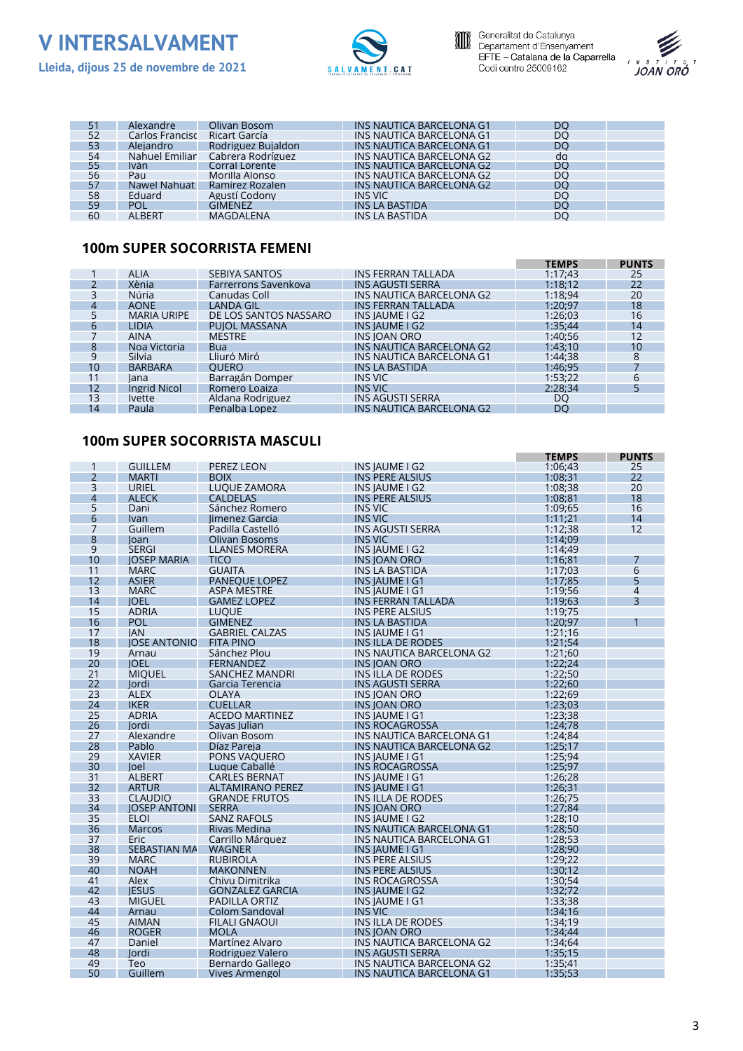





**TEMPS PUNTS**

|    | Alexandre       | Olivan Bosom       | INS NAUTICA BARCELONA G1 | DO        |  |
|----|-----------------|--------------------|--------------------------|-----------|--|
| 52 | Carlos Francisc | Ricart García      | INS NAUTICA BARCELONA G1 | <b>DO</b> |  |
| 53 | Alejandro       | Rodriguez Bujaldon | INS NAUTICA BARCELONA G1 | DO        |  |
| 54 | Nahuel Emiliar  | Cabrera Rodríguez  | INS NAUTICA BARCELONA G2 | da        |  |
| 55 | Iván            | Corral Lorente     | INS NAUTICA BARCELONA G2 | DO        |  |
| 56 | Pau             | Morilla Alonso     | INS NAUTICA BARCELONA G2 | <b>DO</b> |  |
| 57 | Nawel Nahuat    | Ramírez Rozalen    | INS NAUTICA BARCELONA G2 | <b>DO</b> |  |
| 58 | Eduard          | Agustí Codony      | <b>INS VIC</b>           | DO        |  |
| 59 | POL             | <b>GIMENEZ</b>     | <b>INS LA BASTIDA</b>    | DO        |  |
| 60 | <b>ALBERT</b>   | MAGDALENA          | <b>INS LA BASTIDA</b>    | DO        |  |

#### **100m SUPER SOCORRISTA FEMENÍ**

|    |                    |                       |                           | <b>IEMPS</b> | <b>PUNIS</b> |
|----|--------------------|-----------------------|---------------------------|--------------|--------------|
|    | <b>ALIA</b>        | <b>SEBIYA SANTOS</b>  | <b>INS FERRAN TALLADA</b> | 1:17:43      | 25           |
|    | Xènia              | Farrerrons Savenkova  | <b>INS AGUSTI SERRA</b>   | 1:18:12      | 22           |
|    | Núria              | Canudas Coll          | INS NAUTICA BARCELONA G2  | 1:18:94      | 20           |
| 4  | <b>AONE</b>        | <b>LANDA GIL</b>      | INS FERRAN TALLADA        | 1:20:97      | 18           |
|    | <b>MARIA URIPE</b> | DE LOS SANTOS NASSARO | INS IAUME I G2            | 1:26:03      | 16           |
| 6  | <b>LIDIA</b>       | <b>PUIOL MASSANA</b>  | INS IAUME I G2            | 1:35:44      | 14           |
|    | <b>AINA</b>        | <b>MESTRE</b>         | <b>INS JOAN ORO</b>       | 1:40:56      | 12           |
| 8  | Noa Victoria       | <b>Bua</b>            | INS NAUTICA BARCELONA G2  | 1:43:10      | 10           |
| q  | Silvia             | Lliuró Miró           | INS NAUTICA BARCELONA G1  | 1:44:38      | 8            |
| 10 | <b>BARBARA</b>     | <b>OUERO</b>          | <b>INS LA BASTIDA</b>     | 1:46:95      |              |
| 11 | lana               | Barragán Domper       | INS VIC                   | 1:53:22      | 6            |
| 12 | Ingrid Nicol       | Romero Loaiza         | <b>INS VIC</b>            | 2:28:34      |              |
| 13 | <i>lvette</i>      | Aldana Rodriguez      | <b>INS AGUSTI SERRA</b>   | DO           |              |
| 14 | Paula              | Penalba Lopez         | INS NAUTICA BARCELONA G2  | DO           |              |
|    |                    |                       |                           |              |              |

#### **100m SUPER SOCORRISTA MASCULÍ**

|                |                     |                         |                                 | <b>TEMPS</b> | <b>PUNTS</b> |
|----------------|---------------------|-------------------------|---------------------------------|--------------|--------------|
| 1              | <b>GUILLEM</b>      | PEREZ LEON              | INS JAUME I G2                  | 1:06:43      | 25           |
| $\overline{2}$ | <b>MARTI</b>        | <b>BOIX</b>             | <b>INS PERE ALSIUS</b>          | 1:08:31      | 22           |
| 3              | <b>URIEL</b>        | <b>LUOUE ZAMORA</b>     | INS JAUME I G2                  | 1:08:38      | 20           |
| $\overline{4}$ | <b>ALECK</b>        | <b>CALDELAS</b>         | <b>INS PERE ALSIUS</b>          | 1:08:81      | 18           |
| 5              | Dani                | Sánchez Romero          | <b>INS VIC</b>                  | 1:09:65      | 16           |
| 6              | <b>Ivan</b>         | limenez Garcia          | <b>INS VIC</b>                  | 1:11:21      | 14           |
| 7              | Guillem             | Padilla Castelló        | <b>INS AGUSTI SERRA</b>         | 1:12:38      | 12           |
| 8              | loan                | Olivan Bosoms           | <b>INS VIC</b>                  | 1:14:09      |              |
| 9              | <b>SERGI</b>        | <b>LLANES MORERA</b>    | INS JAUME I G2                  | 1:14:49      |              |
| 10             | <b>IOSEP MARIA</b>  | TICO                    | <b>INS JOAN ORO</b>             | 1:16;81      |              |
| 11             | <b>MARC</b>         | <b>GUAITA</b>           | INS LA BASTIDA                  | 1:17:03      | 6            |
| 12             | <b>ASIER</b>        | <b>PANEQUE LOPEZ</b>    | <b>INS JAUME I G1</b>           | 1:17:85      | 5            |
| 13             | <b>MARC</b>         | <b>ASPA MESTRE</b>      | INS JAUME I G1                  | 1:19:56      | 4            |
| 14             | <b>IOEL</b>         | <b>GAMEZ LOPEZ</b>      | <b>INS FERRAN TALLADA</b>       | 1:19:63      | 3            |
| 15             | <b>ADRIA</b>        | <b>LUQUE</b>            | INS PERE ALSIUS                 | 1:19:75      |              |
| 16             | POL                 | <b>GIMENEZ</b>          | <b>INS LA BASTIDA</b>           | 1:20:97      |              |
| 17             | <b>IAN</b>          | <b>GABRIEL CALZAS</b>   | INS IAUME I G1                  | 1:21:16      |              |
| 18             | <b>IOSE ANTONIO</b> | <b>FITA PINO</b>        | <b>INS ILLA DE RODES</b>        | 1:21:54      |              |
| 19             | Arnau               | Sánchez Plou            | INS NAUTICA BARCELONA G2        | 1:21;60      |              |
| 20             | <b>IOEL</b>         | <b>FERNANDEZ</b>        | INS JOAN ORO                    | 1:22:24      |              |
| 21             | <b>MIOUEL</b>       | <b>SANCHEZ MANDRI</b>   | <b>INS ILLA DE RODES</b>        | 1:22;50      |              |
| 22             | lordi               | Garcia Terencia         | <b>INS AGUSTI SERRA</b>         | 1:22:60      |              |
| 23             | <b>ALEX</b>         | <b>OLAYA</b>            | <b>INS JOAN ORO</b>             | 1:22;69      |              |
| 24             | <b>IKER</b>         | <b>CUELLAR</b>          | <b>INS JOAN ORO</b>             | 1:23:03      |              |
| 25             | <b>ADRIA</b>        | <b>ACEDO MARTINEZ</b>   | INS IAUME I G1                  | 1:23:38      |              |
| 26             | <b>lordi</b>        | Savas Iulian            | INS ROCAGROSSA                  | 1:24;78      |              |
| 27             | Alexandre           | Olivan Bosom            | INS NAUTICA BARCELONA G1        | 1:24;84      |              |
| 28             | Pablo               | Díaz Pareja             | INS NAUTICA BARCELONA G2        | 1:25:17      |              |
| 29             | <b>XAVIER</b>       | PONS VAQUERO            | INS JAUME I G1                  | 1:25;94      |              |
| 30             | loel                | Luque Caballé           | <b>INS ROCAGROSSA</b>           | 1:25:97      |              |
| 31             | <b>ALBERT</b>       | <b>CARLES BERNAT</b>    | INS JAUME I G1                  | 1:26;28      |              |
| 32             | <b>ARTUR</b>        | <b>ALTAMIRANO PEREZ</b> | INS JAUME I G1                  | 1:26:31      |              |
| 33             | <b>CLAUDIO</b>      | <b>GRANDE FRUTOS</b>    | <b>INS ILLA DE RODES</b>        | 1:26;75      |              |
| 34             | <b>IOSEP ANTONI</b> | <b>SERRA</b>            | <b>INS JOAN ORO</b>             | 1:27:84      |              |
| 35             | <b>ELOI</b>         | <b>SANZ RAFOLS</b>      | INS JAUME I G2                  | 1:28:10      |              |
| 36             | <b>Marcos</b>       | Rivas Medina            | <b>INS NAUTICA BARCELONA G1</b> | 1:28:50      |              |
| 37             | Eric                | Carrillo Márquez        | <b>INS NAUTICA BARCELONA G1</b> | 1:28:53      |              |
| 38             | <b>SEBASTIAN MA</b> | <b>WAGNER</b>           | <b>INS JAUME I G1</b>           | 1:28:90      |              |
| 39             | <b>MARC</b>         | <b>RUBIROLA</b>         | INS PERE ALSIUS                 | 1:29:22      |              |
| 40             | <b>NOAH</b>         | <b>MAKONNEN</b>         | <b>INS PERE ALSIUS</b>          | 1:30;12      |              |
| 41             | Alex                | Chivu Dimitrika         | INS ROCAGROSSA                  | 1:30;54      |              |
| 42             | <b>IESUS</b>        | <b>GONZALEZ GARCIA</b>  | INS IAUME I G2                  | 1:32;72      |              |
| 43             | <b>MIGUEL</b>       | PADILLA ORTIZ           | INS JAUME I G1                  | 1:33;38      |              |
| 44             | Arnau               | Colom Sandoval          | <b>INS VIC</b>                  | 1:34;16      |              |
| 45             | <b>AIMAN</b>        | <b>FILALI GNAOUI</b>    | <b>INS ILLA DE RODES</b>        | 1:34;19      |              |
| 46             | <b>ROGER</b>        | <b>MOLA</b>             | INS IOAN ORO                    | 1:34:44      |              |
| 47             | Daniel              | Martínez Alvaro         | INS NAUTICA BARCELONA G2        | 1:34;64      |              |
| 48             | lordi               | Rodriguez Valero        | INS AGUSTI SERRA                | 1:35:15      |              |
| 49             | Teo                 | Bernardo Gallego        | INS NAUTICA BARCELONA G2        | 1:35;41      |              |
| 50             | Guillem             | Vives Armengol          | INS NAUTICA BARCELONA G1        | 1:35;53      |              |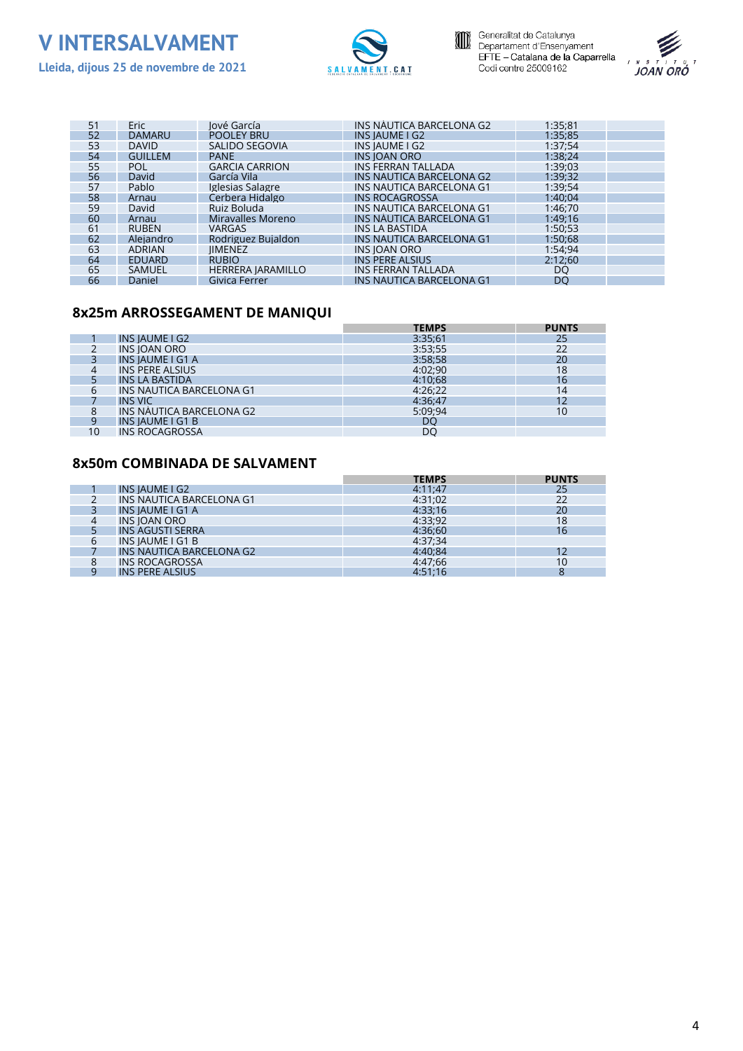





| 51 | <b>Eric</b>    | lové García              | INS NAUTICA BARCELONA G2        | 1:35:81 |  |
|----|----------------|--------------------------|---------------------------------|---------|--|
| 52 | <b>DAMARU</b>  | <b>POOLEY BRU</b>        | INS IAUME I G2                  | 1:35;85 |  |
| 53 | <b>DAVID</b>   | SALIDO SEGOVIA           | INS IAUME I G2                  | 1:37:54 |  |
| 54 | <b>GUILLEM</b> | <b>PANE</b>              | <b>INS IOAN ORO</b>             | 1:38;24 |  |
| 55 | <b>POL</b>     | <b>GARCIA CARRION</b>    | INS FERRAN TALLADA              | 1:39;03 |  |
| 56 | David          | García Vila              | INS NAUTICA BARCELONA G2        | 1:39:32 |  |
| 57 | Pablo          | Iglesias Salagre         | INS NAUTICA BARCELONA G1        | 1:39;54 |  |
| 58 | Arnau          | Cerbera Hidalgo          | <b>INS ROCAGROSSA</b>           | 1:40:04 |  |
| 59 | David          | Ruiz Boluda              | INS NAUTICA BARCELONA G1        | 1:46:70 |  |
| 60 | Arnau          | Miravalles Moreno        | INS NAUTICA BARCELONA G1        | 1:49:16 |  |
| 61 | <b>RUBEN</b>   | <b>VARGAS</b>            | INS LA BASTIDA                  | 1:50:53 |  |
| 62 | Alejandro      | Rodriguez Buialdon       | <b>INS NAUTICA BARCELONA G1</b> | 1:50:68 |  |
| 63 | <b>ADRIAN</b>  | <b>IIMENEZ</b>           | <b>INS JOAN ORO</b>             | 1:54:94 |  |
| 64 | <b>EDUARD</b>  | <b>RUBIO</b>             | INS PERE ALSIUS                 | 2:12:60 |  |
| 65 | <b>SAMUEL</b>  | <b>HERRERA JARAMILLO</b> | <b>INS FERRAN TALLADA</b>       | DO      |  |
| 66 | Daniel         | Givica Ferrer            | INS NAUTICA BARCELONA G1        | DO      |  |

#### **8x25m ARROSSEGAMENT DE MANIQUÍ**

|    |                          | <b>TEMPS</b> | <b>PUNTS</b> |
|----|--------------------------|--------------|--------------|
|    | <b>INS IAUME I G2</b>    | 3:35:61      | 25           |
|    | <b>INS IOAN ORO</b>      | 3:53;55      |              |
|    | <b>INS IAUME I G1 A</b>  | 3:58;58      | 20           |
|    | <b>INS PERE ALSIUS</b>   | 4:02:90      | 18           |
|    | <b>INS LA BASTIDA</b>    | 4:10:68      | 16           |
| 6  | INS NAUTICA BARCELONA G1 | 4:26:22      | 14           |
|    | <b>INS VIC</b>           | 4:36:47      |              |
| 8  | INS NAUTICA BARCELONA G2 | 5:09:94      | 10           |
| q  | <b>INS IAUME I G1 B</b>  | DO           |              |
| 10 | <b>INS ROCAGROSSA</b>    | DO           |              |

#### **8x50m COMBINADA DE SALVAMENT**

|   |                                 | <b>TEMPS</b> | <b>PUNTS</b> |
|---|---------------------------------|--------------|--------------|
|   | INS IAUME I G2                  | 4:11:47      | 25           |
|   | INS NAUTICA BARCELONA G1        | 4:31:02      | 22           |
|   | <b>INSIAUME I G1 A</b>          | 4:33:16      | 20           |
|   | <b>INS JOAN ORO</b>             | 4:33:92      | 18           |
|   | <b>INS AGUSTI SERRA</b>         | 4:36:60      | 16           |
| 6 | <b>INS IAUME I G1 B</b>         | 4:37:34      |              |
|   | <b>INS NAUTICA BARCELONA G2</b> | 4:40:84      |              |
| 8 | <b>INS ROCAGROSSA</b>           | 4:47:66      | 10           |
|   | INS PERE ALSIUS                 | 4:51:16      | O            |